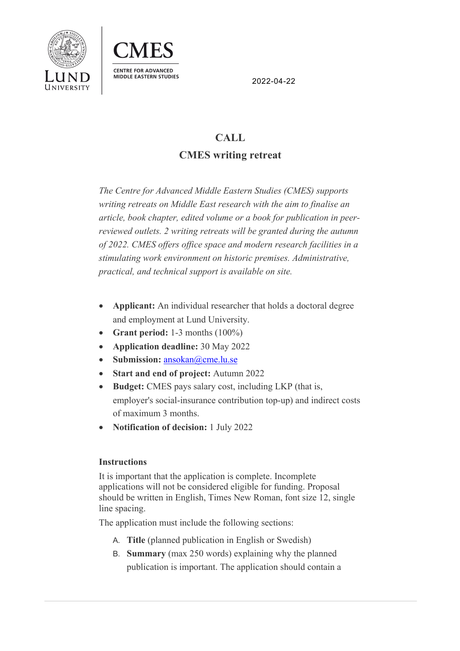



2022-04-22

## **CALL CMES writing retreat**

*The Centre for Advanced Middle Eastern Studies (CMES) supports writing retreats on Middle East research with the aim to finalise an article, book chapter, edited volume or a book for publication in peerreviewed outlets. 2 writing retreats will be granted during the autumn of 2022. CMES offers office space and modern research facilities in a stimulating work environment on historic premises. Administrative, practical, and technical support is available on site.* 

- **Applicant:** An individual researcher that holds a doctoral degree and employment at Lund University.
- **Grant period:** 1-3 months (100%)
- **Application deadline:** 30 May 2022
- Submission: ansokan@cme.lu.se
- **Start and end of project:** Autumn 2022
- **Budget:** CMES pays salary cost, including LKP (that is, employer's social-insurance contribution top-up) and indirect costs of maximum 3 months.
- **Notification of decision:** 1 July 2022

## **Instructions**

It is important that the application is complete. Incomplete applications will not be considered eligible for funding. Proposal should be written in English, Times New Roman, font size 12, single line spacing.

The application must include the following sections:

- A. **Title** (planned publication in English or Swedish)
- B. **Summary** (max 250 words) explaining why the planned publication is important. The application should contain a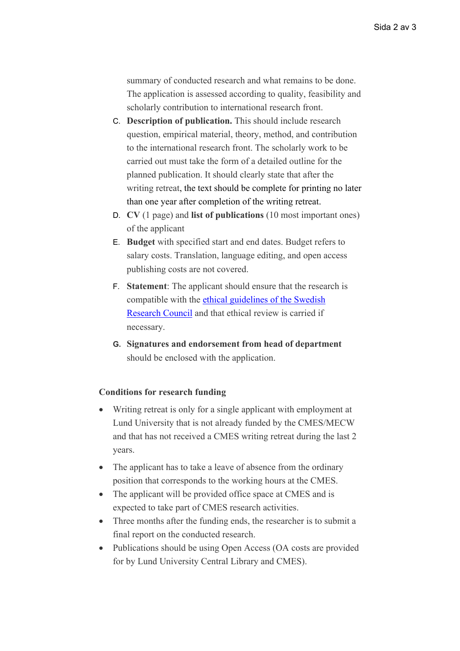summary of conducted research and what remains to be done. The application is assessed according to quality, feasibility and scholarly contribution to international research front.

- C. **Description of publication.** This should include research question, empirical material, theory, method, and contribution to the international research front. The scholarly work to be carried out must take the form of a detailed outline for the planned publication. It should clearly state that after the writing retreat, the text should be complete for printing no later than one year after completion of the writing retreat.
- D. **CV** (1 page) and **list of publications** (10 most important ones) of the applicant
- E. **Budget** with specified start and end dates. Budget refers to salary costs. Translation, language editing, and open access publishing costs are not covered.
- F. **Statement**: The applicant should ensure that the research is compatible with the ethical guidelines of the Swedish Research Council and that ethical review is carried if necessary.
- **G. Signatures and endorsement from head of department**  should be enclosed with the application.

## **Conditions for research funding**

- Writing retreat is only for a single applicant with employment at Lund University that is not already funded by the CMES/MECW and that has not received a CMES writing retreat during the last 2 years.
- The applicant has to take a leave of absence from the ordinary position that corresponds to the working hours at the CMES.
- The applicant will be provided office space at CMES and is expected to take part of CMES research activities.
- Three months after the funding ends, the researcher is to submit a final report on the conducted research.
- Publications should be using Open Access (OA costs are provided for by Lund University Central Library and CMES).